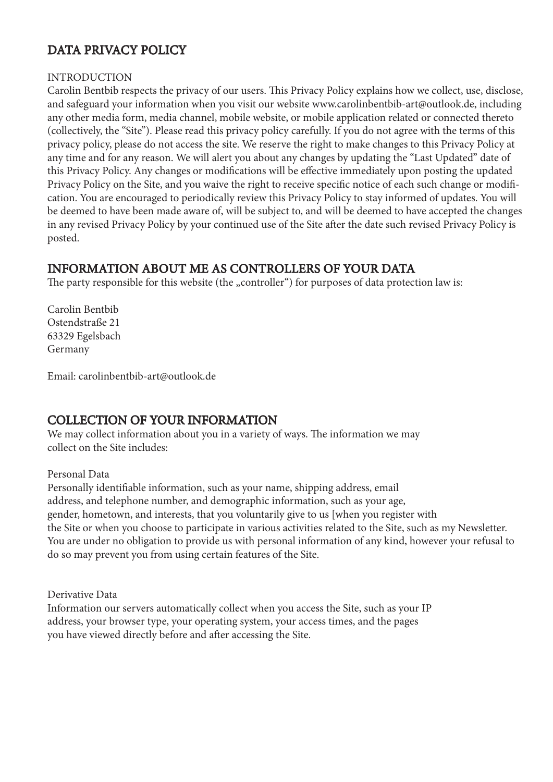# DATA PRIVACY POLICY

#### INTRODUCTION

Carolin Bentbib respects the privacy of our users. This Privacy Policy explains how we collect, use, disclose, and safeguard your information when you visit our website www.carolinbentbib-art@outlook.de, including any other media form, media channel, mobile website, or mobile application related or connected thereto (collectively, the "Site"). Please read this privacy policy carefully. If you do not agree with the terms of this privacy policy, please do not access the site. We reserve the right to make changes to this Privacy Policy at any time and for any reason. We will alert you about any changes by updating the "Last Updated" date of this Privacy Policy. Any changes or modifications will be effective immediately upon posting the updated Privacy Policy on the Site, and you waive the right to receive specific notice of each such change or modification. You are encouraged to periodically review this Privacy Policy to stay informed of updates. You will be deemed to have been made aware of, will be subject to, and will be deemed to have accepted the changes in any revised Privacy Policy by your continued use of the Site after the date such revised Privacy Policy is posted.

### INFORMATION ABOUT ME AS CONTROLLERS OF YOUR DATA

The party responsible for this website (the "controller") for purposes of data protection law is:

Carolin Bentbib Ostendstraße 21 63329 Egelsbach Germany

Email: carolinbentbib-art@outlook.de

### COLLECTION OF YOUR INFORMATION

We may collect information about you in a variety of ways. The information we may collect on the Site includes:

#### Personal Data

Personally identifiable information, such as your name, shipping address, email address, and telephone number, and demographic information, such as your age, gender, hometown, and interests, that you voluntarily give to us [when you register with the Site or when you choose to participate in various activities related to the Site, such as my Newsletter. You are under no obligation to provide us with personal information of any kind, however your refusal to do so may prevent you from using certain features of the Site.

Derivative Data

Information our servers automatically collect when you access the Site, such as your IP address, your browser type, your operating system, your access times, and the pages you have viewed directly before and after accessing the Site.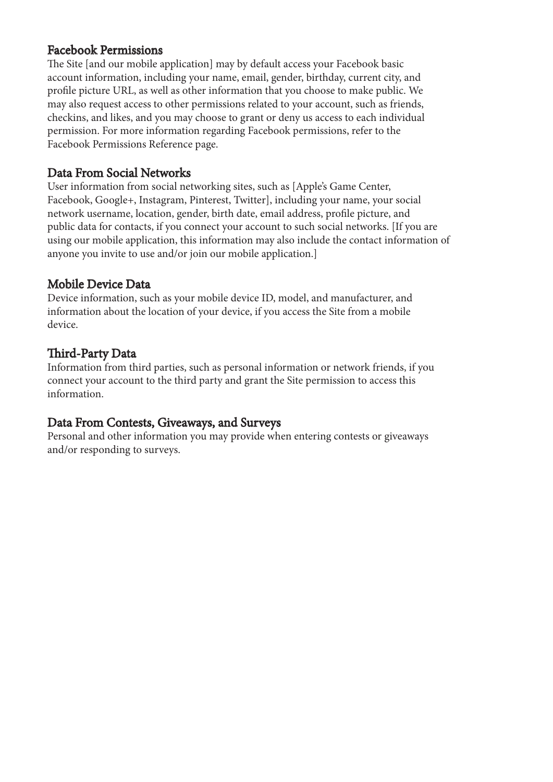### Facebook Permissions

The Site [and our mobile application] may by default access your Facebook basic account information, including your name, email, gender, birthday, current city, and profile picture URL, as well as other information that you choose to make public. We may also request access to other permissions related to your account, such as friends, checkins, and likes, and you may choose to grant or deny us access to each individual permission. For more information regarding Facebook permissions, refer to the Facebook Permissions Reference page.

### Data From Social Networks

User information from social networking sites, such as [Apple's Game Center, Facebook, Google+, Instagram, Pinterest, Twitter], including your name, your social network username, location, gender, birth date, email address, profile picture, and public data for contacts, if you connect your account to such social networks. [If you are using our mobile application, this information may also include the contact information of anyone you invite to use and/or join our mobile application.]

### Mobile Device Data

Device information, such as your mobile device ID, model, and manufacturer, and information about the location of your device, if you access the Site from a mobile device.

# Third-Party Data

Information from third parties, such as personal information or network friends, if you connect your account to the third party and grant the Site permission to access this information.

### Data From Contests, Giveaways, and Surveys

Personal and other information you may provide when entering contests or giveaways and/or responding to surveys.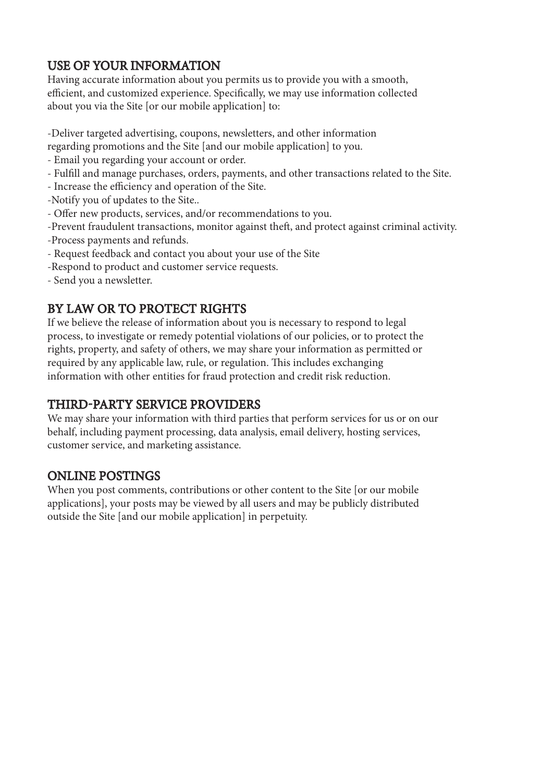# USE OF YOUR INFORMATION

Having accurate information about you permits us to provide you with a smooth, efficient, and customized experience. Specifically, we may use information collected about you via the Site [or our mobile application] to:

-Deliver targeted advertising, coupons, newsletters, and other information

- regarding promotions and the Site [and our mobile application] to you.
- Email you regarding your account or order.
- Fulfill and manage purchases, orders, payments, and other transactions related to the Site.
- Increase the efficiency and operation of the Site.
- -Notify you of updates to the Site..
- Offer new products, services, and/or recommendations to you.
- -Prevent fraudulent transactions, monitor against theft, and protect against criminal activity.
- -Process payments and refunds.
- Request feedback and contact you about your use of the Site
- -Respond to product and customer service requests.
- Send you a newsletter.

# BY LAW OR TO PROTECT RIGHTS

If we believe the release of information about you is necessary to respond to legal process, to investigate or remedy potential violations of our policies, or to protect the rights, property, and safety of others, we may share your information as permitted or required by any applicable law, rule, or regulation. This includes exchanging information with other entities for fraud protection and credit risk reduction.

# THIRD-PARTY SERVICE PROVIDERS

We may share your information with third parties that perform services for us or on our behalf, including payment processing, data analysis, email delivery, hosting services, customer service, and marketing assistance.

### ONLINE POSTINGS

When you post comments, contributions or other content to the Site [or our mobile applications], your posts may be viewed by all users and may be publicly distributed outside the Site [and our mobile application] in perpetuity.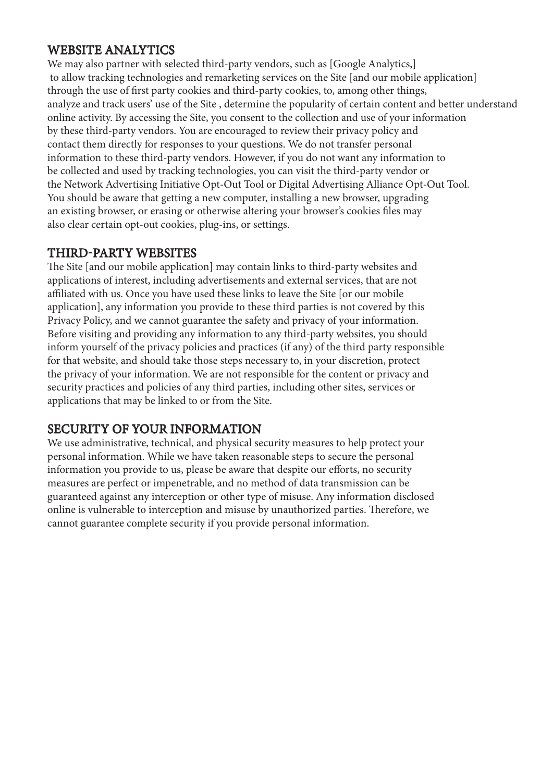# WEBSITE ANALYTICS

We may also partner with selected third-party vendors, such as [Google Analytics,] to allow tracking technologies and remarketing services on the Site [and our mobile application] through the use of first party cookies and third-party cookies, to, among other things, analyze and track users' use of the Site , determine the popularity of certain content and better understand online activity. By accessing the Site, you consent to the collection and use of your information by these third-party vendors. You are encouraged to review their privacy policy and contact them directly for responses to your questions. We do not transfer personal information to these third-party vendors. However, if you do not want any information to be collected and used by tracking technologies, you can visit the third-party vendor or the Network Advertising Initiative Opt-Out Tool or Digital Advertising Alliance Opt-Out Tool. You should be aware that getting a new computer, installing a new browser, upgrading an existing browser, or erasing or otherwise altering your browser's cookies files may also clear certain opt-out cookies, plug-ins, or settings.

### THIRD-PARTY WEBSITES

The Site [and our mobile application] may contain links to third-party websites and applications of interest, including advertisements and external services, that are not affiliated with us. Once you have used these links to leave the Site [or our mobile application], any information you provide to these third parties is not covered by this Privacy Policy, and we cannot guarantee the safety and privacy of your information. Before visiting and providing any information to any third-party websites, you should inform yourself of the privacy policies and practices (if any) of the third party responsible for that website, and should take those steps necessary to, in your discretion, protect the privacy of your information. We are not responsible for the content or privacy and security practices and policies of any third parties, including other sites, services or applications that may be linked to or from the Site.

### SECURITY OF YOUR INFORMATION

We use administrative, technical, and physical security measures to help protect your personal information. While we have taken reasonable steps to secure the personal information you provide to us, please be aware that despite our efforts, no security measures are perfect or impenetrable, and no method of data transmission can be guaranteed against any interception or other type of misuse. Any information disclosed online is vulnerable to interception and misuse by unauthorized parties. Therefore, we cannot guarantee complete security if you provide personal information.